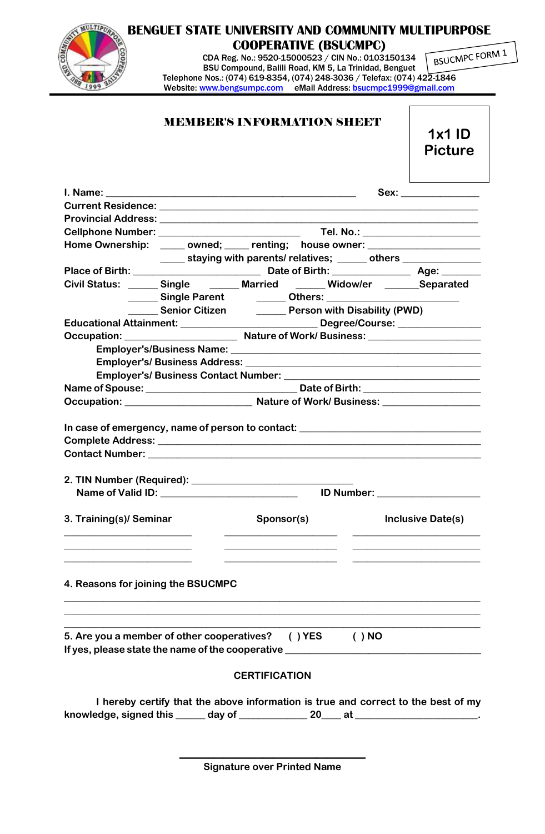|                                                                                                                                                   |                                                                                                                 |                      | <b>COOPERATIVE (BSUCMPC)</b>                                                                                                                                                                                                         |                                                       | <b>BENGUET STATE UNIVERSITY AND COMMUNITY MULTIPURPOSE</b>                                                                                                                                                                     |  |
|---------------------------------------------------------------------------------------------------------------------------------------------------|-----------------------------------------------------------------------------------------------------------------|----------------------|--------------------------------------------------------------------------------------------------------------------------------------------------------------------------------------------------------------------------------------|-------------------------------------------------------|--------------------------------------------------------------------------------------------------------------------------------------------------------------------------------------------------------------------------------|--|
| COMM                                                                                                                                              |                                                                                                                 |                      |                                                                                                                                                                                                                                      |                                                       | CDA Reg. No.: 9520-15000523 / CIN No.: 0103150134 $\sqrt{\frac{B}{{\text{B}}}}$ CINPC FORM 1                                                                                                                                   |  |
|                                                                                                                                                   |                                                                                                                 |                      |                                                                                                                                                                                                                                      | BSU Compound, Balili Road, KM 5, La Trinidad, Benguet |                                                                                                                                                                                                                                |  |
|                                                                                                                                                   | Telephone Nos.: (074) 619-8354, (074) 248-3036 / Telefax: (074) 422-1846                                        |                      |                                                                                                                                                                                                                                      |                                                       |                                                                                                                                                                                                                                |  |
|                                                                                                                                                   | Website: www.bengsumpc.com eMail Address: bsucmpc1999@gmail.com                                                 |                      |                                                                                                                                                                                                                                      |                                                       |                                                                                                                                                                                                                                |  |
|                                                                                                                                                   | <b>MEMBER'S INFORMATION SHEET</b>                                                                               |                      |                                                                                                                                                                                                                                      |                                                       | $1x1$ ID                                                                                                                                                                                                                       |  |
|                                                                                                                                                   |                                                                                                                 |                      |                                                                                                                                                                                                                                      |                                                       | <b>Picture</b>                                                                                                                                                                                                                 |  |
|                                                                                                                                                   |                                                                                                                 |                      |                                                                                                                                                                                                                                      |                                                       | Sex: when the second control of the second second second second second second second second second second second second second second second second second second second second second second second second second second seco |  |
| Current Residence: Later and Contract and Contract and Contract and Contract and Contract and                                                     |                                                                                                                 |                      |                                                                                                                                                                                                                                      |                                                       |                                                                                                                                                                                                                                |  |
|                                                                                                                                                   |                                                                                                                 |                      |                                                                                                                                                                                                                                      |                                                       |                                                                                                                                                                                                                                |  |
|                                                                                                                                                   |                                                                                                                 |                      |                                                                                                                                                                                                                                      |                                                       |                                                                                                                                                                                                                                |  |
|                                                                                                                                                   | Home Ownership: _____ owned; ____ renting; house owner: ________________________                                |                      |                                                                                                                                                                                                                                      |                                                       |                                                                                                                                                                                                                                |  |
|                                                                                                                                                   |                                                                                                                 |                      |                                                                                                                                                                                                                                      |                                                       | _____ staying with parents/ relatives; _____ others _____________                                                                                                                                                              |  |
|                                                                                                                                                   |                                                                                                                 |                      |                                                                                                                                                                                                                                      |                                                       |                                                                                                                                                                                                                                |  |
| Civil Status: ______ Single _______ Married ______ Widow/er ______ Separated                                                                      |                                                                                                                 |                      |                                                                                                                                                                                                                                      |                                                       |                                                                                                                                                                                                                                |  |
|                                                                                                                                                   | Single Parent Communication Communication Communication Communication Communication Communication Communication |                      |                                                                                                                                                                                                                                      |                                                       |                                                                                                                                                                                                                                |  |
|                                                                                                                                                   | Senior Citizen <b>Character Citizen</b> Person with Disability (PWD)                                            |                      |                                                                                                                                                                                                                                      |                                                       |                                                                                                                                                                                                                                |  |
| Educational Attainment: ___________________________________Degree/Course: _________________________                                               |                                                                                                                 |                      |                                                                                                                                                                                                                                      |                                                       |                                                                                                                                                                                                                                |  |
|                                                                                                                                                   |                                                                                                                 |                      |                                                                                                                                                                                                                                      |                                                       |                                                                                                                                                                                                                                |  |
|                                                                                                                                                   |                                                                                                                 |                      |                                                                                                                                                                                                                                      |                                                       |                                                                                                                                                                                                                                |  |
|                                                                                                                                                   |                                                                                                                 |                      |                                                                                                                                                                                                                                      |                                                       |                                                                                                                                                                                                                                |  |
|                                                                                                                                                   |                                                                                                                 |                      |                                                                                                                                                                                                                                      |                                                       |                                                                                                                                                                                                                                |  |
|                                                                                                                                                   |                                                                                                                 |                      |                                                                                                                                                                                                                                      |                                                       |                                                                                                                                                                                                                                |  |
|                                                                                                                                                   |                                                                                                                 |                      |                                                                                                                                                                                                                                      |                                                       |                                                                                                                                                                                                                                |  |
| In case of emergency, name of person to contact: _______________________________                                                                  |                                                                                                                 |                      |                                                                                                                                                                                                                                      |                                                       |                                                                                                                                                                                                                                |  |
|                                                                                                                                                   |                                                                                                                 |                      |                                                                                                                                                                                                                                      |                                                       |                                                                                                                                                                                                                                |  |
|                                                                                                                                                   |                                                                                                                 |                      |                                                                                                                                                                                                                                      |                                                       |                                                                                                                                                                                                                                |  |
|                                                                                                                                                   |                                                                                                                 |                      |                                                                                                                                                                                                                                      |                                                       |                                                                                                                                                                                                                                |  |
|                                                                                                                                                   |                                                                                                                 |                      |                                                                                                                                                                                                                                      |                                                       |                                                                                                                                                                                                                                |  |
| 3. Training(s)/ Seminar                                                                                                                           |                                                                                                                 | Sponsor(s)           | <u> Alexandria (m. 1858)</u>                                                                                                                                                                                                         |                                                       | Inclusive Date(s)                                                                                                                                                                                                              |  |
| 4. Reasons for joining the BSUCMPC                                                                                                                |                                                                                                                 |                      | <u> 1989 - Johann Barn, mars eta bainar eta bainar eta hiri handien erroman erroman erroman erroman erroman erroman erroman erroman erroman erroman erroman erroman erroman erroman erroman erroman erroman erroman erroman erro</u> |                                                       |                                                                                                                                                                                                                                |  |
| 5. Are you a member of other cooperatives? () YES<br>If yes, please state the name of the cooperative <b>contained a state of the cooperative</b> |                                                                                                                 |                      |                                                                                                                                                                                                                                      | $( )$ NO                                              |                                                                                                                                                                                                                                |  |
|                                                                                                                                                   |                                                                                                                 | <b>CERTIFICATION</b> |                                                                                                                                                                                                                                      |                                                       |                                                                                                                                                                                                                                |  |
|                                                                                                                                                   |                                                                                                                 |                      |                                                                                                                                                                                                                                      |                                                       |                                                                                                                                                                                                                                |  |
|                                                                                                                                                   |                                                                                                                 |                      |                                                                                                                                                                                                                                      |                                                       | I hereby certify that the above information is true and correct to the best of my                                                                                                                                              |  |
| knowledge, signed this ______ day of _______________ 20____ at ___________________.                                                               |                                                                                                                 |                      |                                                                                                                                                                                                                                      |                                                       |                                                                                                                                                                                                                                |  |

**\_\_\_\_\_\_\_\_\_\_\_\_\_\_\_\_\_\_\_\_\_\_\_\_\_\_\_\_\_\_\_\_\_\_\_\_\_\_ Signature over Printed Name**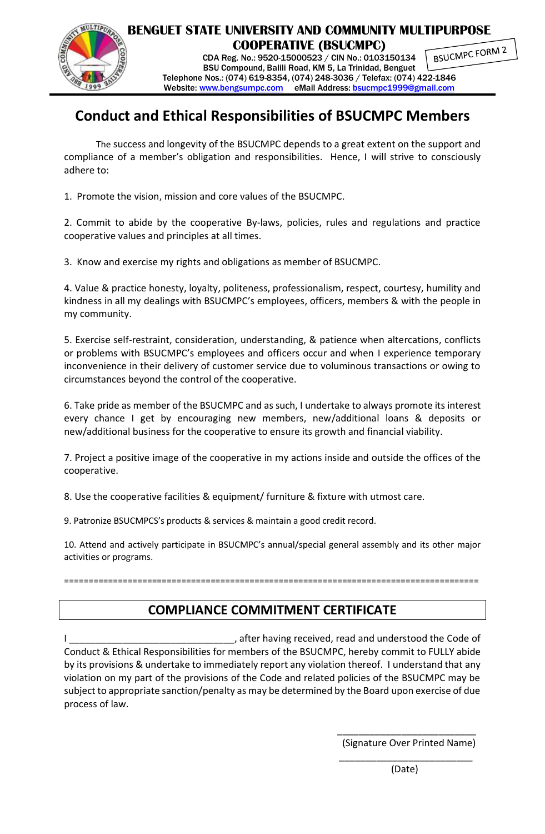

**BENGUET STATE UNIVERSITY AND COMMUNITY MULTIPURPOSE COOPERATIVE (BSUCMPC)** BSUCMPC FORM 2 CDA Reg. No.: 9520-15000523 / CIN No.: 0103150134

BSU Compound, Balili Road, KM 5, La Trinidad, Benguet Telephone Nos.: (074) 619-8354, (074) 248-3036 / Telefax: (074) 422-1846 Website: [www.bengsumpc.com](http://www.bengsumpc.com/) eMail Address: [bsucmpc1999@gmail.com](mailto:bsucmpc1999@gmail.com)

# **Conduct and Ethical Responsibilities of BSUCMPC Members**

The success and longevity of the BSUCMPC depends to a great extent on the support and compliance of a member's obligation and responsibilities. Hence, I will strive to consciously adhere to:

1. Promote the vision, mission and core values of the BSUCMPC.

2. Commit to abide by the cooperative By-laws, policies, rules and regulations and practice cooperative values and principles at all times.

3. Know and exercise my rights and obligations as member of BSUCMPC.

4. Value & practice honesty, loyalty, politeness, professionalism, respect, courtesy, humility and kindness in all my dealings with BSUCMPC's employees, officers, members & with the people in my community.

5. Exercise self-restraint, consideration, understanding, & patience when altercations, conflicts or problems with BSUCMPC's employees and officers occur and when I experience temporary inconvenience in their delivery of customer service due to voluminous transactions or owing to circumstances beyond the control of the cooperative.

6. Take pride as member of the BSUCMPC and as such, I undertake to always promote its interest every chance I get by encouraging new members, new/additional loans & deposits or new/additional business for the cooperative to ensure its growth and financial viability.

7. Project a positive image of the cooperative in my actions inside and outside the offices of the cooperative.

8. Use the cooperative facilities & equipment/ furniture & fixture with utmost care.

9. Patronize BSUCMPCS's products & services & maintain a good credit record.

10. Attend and actively participate in BSUCMPC's annual/special general assembly and its other major activities or programs.

=====================================================================================

# **COMPLIANCE COMMITMENT CERTIFICATE**

, after having received, read and understood the Code of Conduct & Ethical Responsibilities for members of the BSUCMPC, hereby commit to FULLY abide by its provisions & undertake to immediately report any violation thereof. I understand that any violation on my part of the provisions of the Code and related policies of the BSUCMPC may be subject to appropriate sanction/penalty as may be determined by the Board upon exercise of due process of law.

\_\_\_\_\_\_\_\_\_\_\_\_\_\_\_\_\_\_\_\_\_\_\_\_\_

(Signature Over Printed Name)

(Date)

\_\_\_\_\_\_\_\_\_\_\_\_\_\_\_\_\_\_\_\_\_\_\_\_\_\_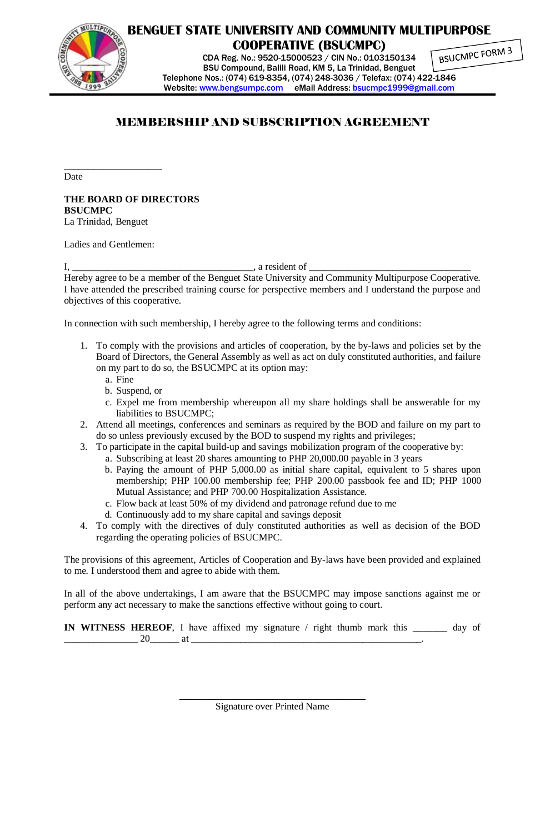

**BENGUET STATE UNIVERSITY AND COMMUNITY MULTIPURPOSE COOPERATIVE (BSUCMPC)**

CDA Reg. No.: 9520-15000523 / CIN No.: 0103150134 BSU Compound, Balili Road, KM 5, La Trinidad, Benguet Telephone Nos.: (074) 619-8354, (074) 248-3036 / Telefax: (074) 422-1846 Website: [www.bengsumpc.com](http://www.bengsumpc.com/) eMail Address: [bsucmpc1999@gmail.com](mailto:bsucmpc1999@gmail.com)

BSUCMPC FORM 3

### MEMBERSHIP AND SUBSCRIPTION AGREEMENT

Date

**THE BOARD OF DIRECTORS BSUCMPC** La Trinidad, Benguet

Ladies and Gentlemen:

\_\_\_\_\_\_\_\_\_\_\_\_\_\_\_\_\_\_\_\_

I, \_\_\_\_\_\_\_\_\_\_\_\_\_\_\_\_\_\_\_\_\_\_\_\_\_\_\_\_\_\_\_\_\_\_\_\_\_, a resident of \_\_\_\_\_\_\_\_\_\_\_\_\_\_\_\_\_\_\_\_\_\_\_\_\_\_\_\_\_\_\_\_\_

Hereby agree to be a member of the Benguet State University and Community Multipurpose Cooperative. I have attended the prescribed training course for perspective members and I understand the purpose and objectives of this cooperative.

In connection with such membership, I hereby agree to the following terms and conditions:

- 1. To comply with the provisions and articles of cooperation, by the by-laws and policies set by the Board of Directors, the General Assembly as well as act on duly constituted authorities, and failure on my part to do so, the BSUCMPC at its option may:
	- a. Fine
	- b. Suspend, or
	- c. Expel me from membership whereupon all my share holdings shall be answerable for my liabilities to BSUCMPC;
- 2. Attend all meetings, conferences and seminars as required by the BOD and failure on my part to do so unless previously excused by the BOD to suspend my rights and privileges;
- 3. To participate in the capital build-up and savings mobilization program of the cooperative by:
	- a. Subscribing at least 20 shares amounting to PHP 20,000.00 payable in 3 years
	- b. Paying the amount of PHP 5,000.00 as initial share capital, equivalent to 5 shares upon membership; PHP 100.00 membership fee; PHP 200.00 passbook fee and ID; PHP 1000 Mutual Assistance; and PHP 700.00 Hospitalization Assistance.
	- c. Flow back at least 50% of my dividend and patronage refund due to me
	- d. Continuously add to my share capital and savings deposit
- 4. To comply with the directives of duly constituted authorities as well as decision of the BOD regarding the operating policies of BSUCMPC.

The provisions of this agreement, Articles of Cooperation and By-laws have been provided and explained to me. I understood them and agree to abide with them.

In all of the above undertakings, I am aware that the BSUCMPC may impose sanctions against me or perform any act necessary to make the sanctions effective without going to court.

**IN WITNESS HEREOF**, I have affixed my signature / right thumb mark this \_\_\_\_\_\_\_ day of  $-20$  at  $-$ 

> \_\_\_\_\_\_\_\_\_\_\_\_\_\_\_\_\_\_\_\_\_\_\_\_\_\_\_\_\_\_\_\_\_\_\_\_\_\_ Signature over Printed Name